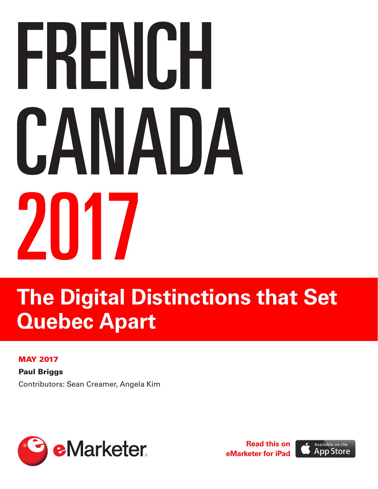# FRENCH CANADA 2017

# **The Digital Distinctions that Set Quebec Apart**

### MAY 2017

**Paul Briggs** Contributors: Sean Creamer, Angela Kim



**[Read this on](https://itunes.apple.com/us/app/emarketer/id611556300) [eMarketer for iPad](https://itunes.apple.com/us/app/emarketer/id611556300)**

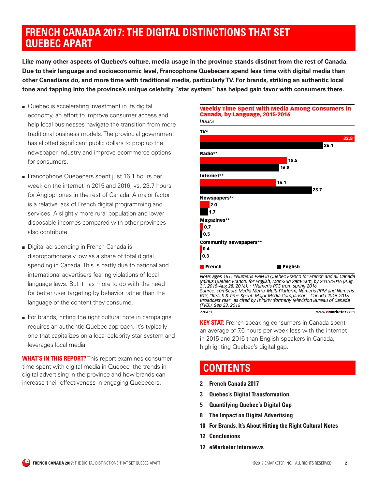# **FRENCH CANADA 2017: THE DIGITAL DISTINCTIONS THAT SET QUEBEC APART**

**Like many other aspects of Quebec's culture, media usage in the province stands distinct from the rest of Canada. Due to their language and socioeconomic level, Francophone Quebecers spend less time with digital media than other Canadians do, and more time with traditional media, particularly TV. For brands, striking an authentic local tone and tapping into the province's unique celebrity "star system" has helped gain favor with consumers there.** 

- Quebec is accelerating investment in its digital economy, an effort to improve consumer access and help local businesses navigate the transition from more traditional business models. The provincial government has allotted significant public dollars to prop up the newspaper industry and improve ecommerce options for consumers.
- Francophone Quebecers spent just 16.1 hours per week on the internet in 2015 and 2016, vs. 23.7 hours for Anglophones in the rest of Canada. A major factor is a relative lack of French digital programming and services. A slightly more rural population and lower disposable incomes compared with other provinces also contribute.
- Digital ad spending in French Canada is disproportionately low as a share of total digital spending in Canada. This is partly due to national and international advertisers fearing violations of local language laws. But it has more to do with the need for better user targeting by behavior rather than the language of the content they consume.
- For brands, hitting the right cultural note in campaigns requires an authentic Quebec approach. It's typically one that capitalizes on a local celebrity star system and leverages local media.

**WHAT'S IN THIS REPORT?** This report examines consumer time spent with digital media in Quebec, the trends in digital advertising in the province and how brands can increase their effectiveness in engaging Quebecers.



Weekly Time Spent with Media Among Consumers in



*Note: ages 18+; \*Numeris PPM in Quebec Franco for French and all Canada (minus Quebec Franco) for English, Mon-Sun 2am-2am, by 2015/2016 (Aug 31, 2015-Aug 28, 2016); \*\*Numeris RTS from spring 2016 Source: comScore Media Metrix Multi-Platform, Numeris PPM and Numeris RTS, "Reach & Time Spent: Major Media Comparison - Canada 2015-2016 Broadcast Year" as cited by Thinktv (formerly Television Bureau of Canada (TVB)), Sep 23, 2016* 220421 www.eMarketer.com

**KEY STAT:** French-speaking consumers in Canada spent an average of 7.6 hours per week less with the internet in 2015 and 2016 than English speakers in Canada, highlighting Quebec's digital gap.

# **CONTENTS**

- **2 French Canada 2017**
- **3 [Quebec's Digital Transformation](#page-2-0)**
- **5 [Quantifying Quebec's Digital Gap](#page-4-0)**
- **8 [The Impact on Digital Advertising](#page-7-0)**
- **10 [For Brands, It's About Hitting the Right Cultural Notes](#page-9-0)**
- **12 [Conclusions](#page-11-0)**
- **12 [eMarketer Interviews](#page-11-0)**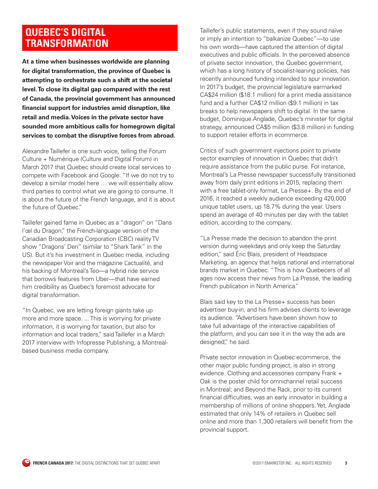# <span id="page-2-0"></span>**QUEBEC'S DIGITAL TRANSFORMATION**

**At a time when businesses worldwide are planning for digital transformation, the province of Quebec is attempting to orchestrate such a shift at the societal level. To close its digital gap compared with the rest of Canada, the provincial government has announced financial support for industries amid disruption, like retail and media. Voices in the private sector have sounded more ambitious calls for homegrown digital services to combat the disruptive forces from abroad.** 

Alexandre Taillefer is one such voice, telling the Forum Culture + Numérique (Culture and Digital Forum) in March 2017 that Quebec should create local services to compete with Facebook and Google: "If we do not try to develop a similar model here … we will essentially allow third parties to control what we are going to consume. It is about the future of the French language, and it is about the future of Quebec."

Taillefer gained fame in Quebec as a "dragon" on "Dans l'œl du Dragon," the French-language version of the Canadian Broadcasting Corporation (CBC) reality TV show "Dragons' Den" (similar to "Shark Tank" in the US). But it's his investment in Quebec media, including the newspaper Voir and the magazine L'actualité, and his backing of Montreal's Teo—a hybrid ride service that borrows features from Uber—that have earned him credibility as Quebec's foremost advocate for digital transformation.

"In Quebec, we are letting foreign giants take up more and more space. ... This is worrying for private information, it is worrying for taxation, but also for information and local traders," said Taillefer in a March 2017 interview with Infopresse Publishing, a Montrealbased business media company.

Taillefer's public statements, even if they sound naïve or imply an intention to "balkanize Quebec"—to use his own words—have captured the attention of digital executives and public officials. In the perceived absence of private sector innovation, the Quebec government, which has a long history of socialist-leaning policies, has recently announced funding intended to spur innovation. In 2017's budget, the provincial legislature earmarked CA\$24 million (\$18.1 million) for a print media assistance fund and a further CA\$12 million (\$9.1 million) in tax breaks to help newspapers shift to digital. In the same budget, Dominique Anglade, Quebec's minister for digital strategy, announced CA\$5 million (\$3.8 million) in funding to support retailer efforts in ecommerce.

Critics of such government injections point to private sector examples of innovation in Quebec that didn't require assistance from the public purse. For instance, Montreal's La Presse newspaper successfully transitioned away from daily print editions in 2015, replacing them with a free tablet-only format, La Presse+. By the end of 2016, it reached a weekly audience exceeding 420,000 unique tablet users, up 18.7% during the year. Users spend an average of 40 minutes per day with the tablet edition, according to the company.

"La Presse made the decision to abandon the print version during weekdays and only keep the Saturday edition," said Éric Blais, president of Headspace Marketing, an agency that helps national and international brands market in Quebec. "This is how Quebecers of all ages now access their news from La Presse, the leading French publication in North America."

Blais said key to the La Presse+ success has been advertiser buy-in, and his firm advises clients to leverage its audience. "Advertisers have been shown how to take full advantage of the interactive capabilities of the platform, and you can see it in the way the ads are designed," he said.

Private sector innovation in Quebec ecommerce, the other major public funding project, is also in strong evidence. Clothing and accessories company Frank + Oak is the poster child for omnichannel retail success in Montreal; and Beyond the Rack, prior to its current financial difficulties, was an early innovator in building a membership of millions of online shoppers. Yet, Anglade estimated that only 14% of retailers in Quebec sell online and more than 1,300 retailers will benefit from the provincial support.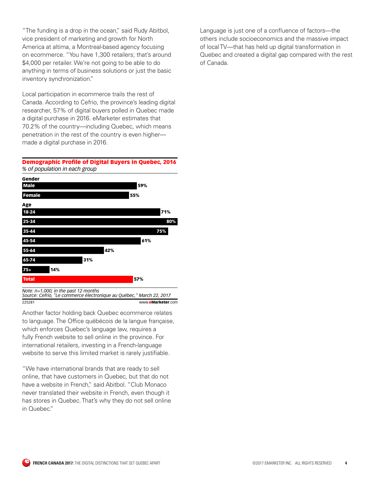"The funding is a drop in the ocean," said Rudy Abitbol, vice president of marketing and growth for North America at altima, a Montreal-based agency focusing on ecommerce. "You have 1,300 retailers; that's around \$4,000 per retailer. We're not going to be able to do anything in terms of business solutions or just the basic inventory synchronization."

Local participation in ecommerce trails the rest of Canada. According to Cefrio, the province's leading digital researcher, 57% of digital buyers polled in Quebec made a digital purchase in 2016. eMarketer estimates that 70.2% of the country—including Quebec, which means penetration in the rest of the country is even higher made a digital purchase in 2016.

### *% of population in each group* Demographic Profile of Digital Buyers in Quebec, 2016



Another factor holding back Quebec ecommerce relates to language. The Office québécois de la langue française, which enforces Quebec's language law, requires a fully French website to sell online in the province. For international retailers, investing in a French-language website to serve this limited market is rarely justifiable.

"We have international brands that are ready to sell online, that have customers in Quebec, but that do not have a website in French," said Abitbol. "Club Monaco never translated their website in French, even though it has stores in Quebec. That's why they do not sell online in Quebec."

Language is just one of a confluence of factors—the others include socioeconomics and the massive impact of local TV—that has held up digital transformation in Quebec and created a digital gap compared with the rest of Canada.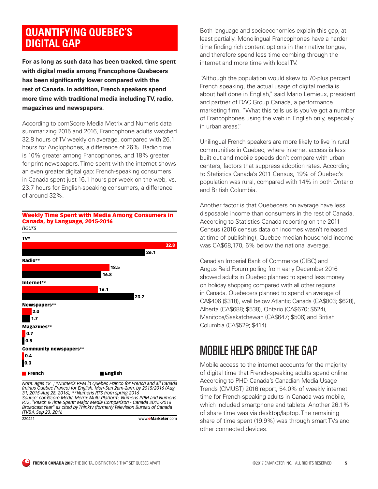# <span id="page-4-0"></span>**QUANTIFYING QUEBEC'S DIGITAL GAP**

**For as long as such data has been tracked, time spent with digital media among Francophone Quebecers has been significantly lower compared with the rest of Canada. In addition, French speakers spend more time with traditional media including TV, radio, magazines and newspapers.** 

According to comScore Media Metrix and Numeris data summarizing 2015 and 2016, Francophone adults watched 32.8 hours of TV weekly on average, compared with 26.1 hours for Anglophones, a difference of 26%. Radio time is 10% greater among Francophones, and 18% greater for print newspapers. Time spent with the internet shows an even greater digital gap: French-speaking consumers in Canada spent just 16.1 hours per week on the web, vs. 23.7 hours for English-speaking consumers, a difference of around 32%.

### *hours* Weekly Time Spent with Media Among Consumers in Canada, by Language, 2015-2016



*Source: comScore Media Metrix Multi-Platform, Numeris PPM and Numeris RTS, "Reach & Time Spent: Major Media Comparison - Canada 2015-2016 Broadcast Year" as cited by Thinktv (formerly Television Bureau of Canada (TVB)), Sep 23, 2016* 220421 www.eMarketer.com

Both language and socioeconomics explain this gap, at least partially. Monolingual Francophones have a harder time finding rich content options in their native tongue, and therefore spend less time combing through the internet and more time with local TV.

"Although the population would skew to 70-plus percent French speaking, the actual usage of digital media is about half done in English," said Mario Lemieux, president and partner of DAC Group Canada, a performance marketing firm. "What this tells us is you've got a number of Francophones using the web in English only, especially in urban areas."

Unilingual French speakers are more likely to live in rural communities in Quebec, where internet access is less built out and mobile speeds don't compare with urban centers, factors that suppress adoption rates. According to Statistics Canada's 2011 Census, 19% of Quebec's population was rural, compared with 14% in both Ontario and British Columbia.

Another factor is that Quebecers on average have less disposable income than consumers in the rest of Canada. According to Statistics Canada reporting on the 2011 Census (2016 census data on incomes wasn't released at time of publishing), Quebec median household income was CA\$68,170, 6% below the national average.

Canadian Imperial Bank of Commerce (CIBC) and Angus Reid Forum polling from early December 2016 showed adults in Quebec planned to spend less money on holiday shopping compared with all other regions in Canada. Quebecers planned to spend an average of CA\$406 (\$318), well below Atlantic Canada (CA\$803; \$628), Alberta (CA\$688; \$538), Ontario (CA\$670; \$524), Manitoba/Saskatchewan (CA\$647; \$506) and British Columbia (CA\$529; \$414).

# MOBILE HELPS BRIDGE THE GAP

Mobile access to the internet accounts for the majority of digital time that French-speaking adults spend online. According to PHD Canada's Canadian Media Usage Trends (CMUST) 2016 report, 54.0% of weekly internet time for French-speaking adults in Canada was mobile, which included smartphone and tablets. Another 26.1% of share time was via desktop/laptop. The remaining share of time spent (19.9%) was through smart TVs and other connected devices.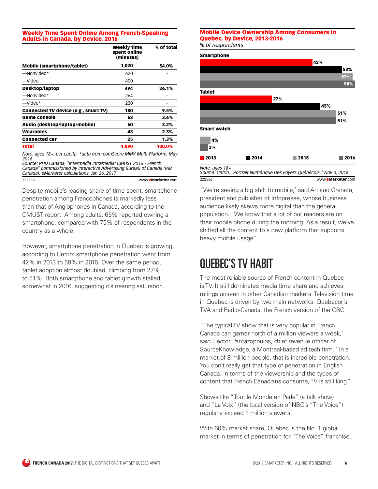### Weekly Time Spent Online Among French-Speaking Adults in Canada, by Device, 2016

|                                      | <b>Weekly time</b><br>spent online<br>(minutes) | % of total |
|--------------------------------------|-------------------------------------------------|------------|
| <b>Mobile (smartphone/tablet)</b>    | 1,020                                           | 54.0%      |
| -Nonvideo*                           | 620                                             |            |
| —Video                               | 400                                             |            |
| <b>Desktop/laptop</b>                | 494                                             | 26.1%      |
| -Nonvideo*                           | 264                                             |            |
| $-$ Video*                           | 230                                             |            |
| Connected TV device (e.g., smart TV) | 180                                             | 9.5%       |
| <b>Game console</b>                  | 68                                              | 3.6%       |
| Audio (desktop/laptop/mobile)        | 60                                              | 3.2%       |
| Wearables                            | 43                                              | 2.3%       |
| <b>Connected car</b>                 | 25                                              | $1.3\%$    |
| Total                                | 1,890                                           | 100.0%     |

*Note: ages 18+; per capita; \*data from comScore MMX Multi-Platform, May 2016*

*Source: PHD Canada, "Intermedia Intramedia: CMUST 2016 - French Canada" commissioned by Interactive Advertising Bureau of Canada (IAB Canada); eMarketer calculations, Jan 26, 2017*

www.eMarketer.com

Despite mobile's leading share of time spent, smartphone penetration among Francophones is markedly less than that of Anglophones in Canada, according to the CMUST report. Among adults, 65% reported owning a smartphone, compared with 75% of respondents in the country as a whole.

However, smartphone penetration in Quebec is growing, according to Cefrio: smartphone penetration went from 42% in 2013 to 58% in 2016. Over the same period, tablet adoption almost doubled, climbing from 27% to 51%. Both smartphone and tablet growth stalled somewhat in 2016, suggesting it's nearing saturation.

### *% of respondents* Mobile Device Ownership Among Consumers in Quebec, by Device, 2013-2016



"We're seeing a big shift to mobile," said Arnaud Granata, president and publisher of Infopresse, whose business audience likely skews more digital than the general population. "We know that a lot of our readers are on their mobile phone during the morning. As a result, we've shifted all the content to a new platform that supports heavy mobile usage."

# QUEBEC'S TV HABIT

The most reliable source of French content in Quebec is TV. It still dominates media time share and achieves ratings unseen in other Canadian markets. Television time in Quebec is driven by two main networks: Quebecor's TVA and Radio-Canada, the French version of the CBC.

"The typical TV show that is very popular in French Canada can garner north of a million viewers a week," said Hector Pantazopoulos, chief revenue officer of SourceKnowledge, a Montreal-based ad tech firm. "In a market of 8 million people, that is incredible penetration. You don't really get that type of penetration in English Canada. In terms of the viewership and the types of content that French Canadians consume, TV is still king."

Shows like "Tout le Monde en Parle" (a talk show) and "La Voix" (the local version of NBC's "The Voice") regularly exceed 1 million viewers.

With 60% market share, Quebec is the No. 1 global market in terms of penetration for "The Voice" franchise.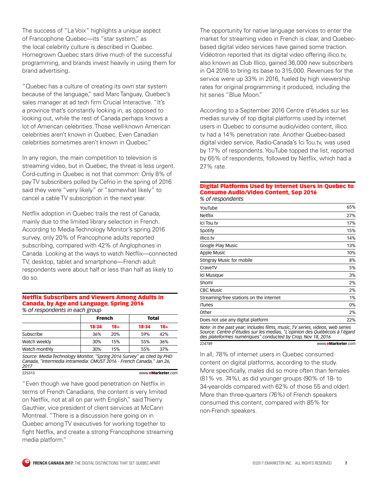The success of "La Voix" highlights a unique aspect of Francophone Quebec—its "star system," as the local celebrity culture is described in Quebec. Homegrown Quebec stars drive much of the successful programming, and brands invest heavily in using them for brand advertising.

"Quebec has a culture of creating its own star system because of the language," said Marc Tanguay, Quebec's sales manager at ad tech firm Crucial Interactive. "It's a province that's constantly looking in, as opposed to looking out, while the rest of Canada perhaps knows a lot of American celebrities. Those well-known American celebrities aren't known in Quebec. Even Canadian celebrities sometimes aren't known in Quebec."

In any region, the main competition to television is streaming video, but in Quebec, the threat is less urgent. Cord-cutting in Quebec is not that common: Only 8% of pay TV subscribers polled by Cefrio in the spring of 2016 said they were "very likely" or "somewhat likely" to cancel a cable TV subscription in the next year.

Netflix adoption in Quebec trails the rest of Canada, mainly due to the limited library selection in French. According to Media Technology Monitor's spring 2016 survey, only 20% of Francophone adults reported subscribing, compared with 42% of Anglophones in Canada. Looking at the ways to watch Netflix—connected TV, desktop, tablet and smartphone—French adult respondents were about half or less than half as likely to do so.

### *% of respondents in each group* Netflix Subscribers and Viewers Among Adults in Canada, by Age and Language, Spring 2016

|                                                                                                                                                        | <b>French</b> |       | <b>Total</b> |       |
|--------------------------------------------------------------------------------------------------------------------------------------------------------|---------------|-------|--------------|-------|
|                                                                                                                                                        | 18-34         | $18+$ | 18-34        | $18+$ |
| Subscribe                                                                                                                                              | 36%           | 20%   | 59%          | 42%   |
| Watch weekly                                                                                                                                           | 30%           | 15%   | 55%          | 36%   |
| Watch monthly                                                                                                                                          | 30%           | 15%   | 55%          | 37%   |
| Source: Media Technology Monitor, "Spring 2016 Survey" as cited by PHD<br>Canada, "Intermedia Intramedia: CMUST 2016 - French Canada," Jan 26,<br>2017 |               |       |              |       |

225313 www.eMarketer.com

"Even though we have good penetration on Netflix in terms of French Canadians, the content is very limited on Netflix, not at all on par with English," said Thierry Gauthier, vice president of client services at McCann Montreal. "There is a discussion here going on in Quebec among TV executives for working together to fight Netflix, and create a strong Francophone streaming media platform."

The opportunity for native language services to enter the market for streaming video in French is clear, and Quebecbased digital video services have gained some traction. Vidéotron reported that its digital video offering illico.tv, also known as Club Illico, gained 36,000 new subscribers in Q4 2016 to bring its base to 315,000. Revenues for the service were up 33% in 2016, fueled by high viewership rates for original programming it produced, including the hit series "Blue Moon."

According to a September 2016 Centre d'études sur les medias survey of top digital platforms used by internet users in Quebec to consume audio/video content, illico. tv had a 14% penetration rate. Another Quebec-based digital video service, Radio-Canada's Ici Tou.tv, was used by 17% of respondents. YouTube topped the list, reported by 65% of respondents, followed by Netflix, which had a 27% rate.

### *% of respondents* Digital Platforms Used by Internet Users in Quebec to Consume Audio/Video Content, Sep 2016

| YouTube                                                                                                                                                                                                                   | 65%               |
|---------------------------------------------------------------------------------------------------------------------------------------------------------------------------------------------------------------------------|-------------------|
| Netflix                                                                                                                                                                                                                   | 27%               |
| Ici Tou.tv                                                                                                                                                                                                                | 17%               |
| Spotify                                                                                                                                                                                                                   | 15%               |
| illico.tv                                                                                                                                                                                                                 | 14%               |
| Google Play Music                                                                                                                                                                                                         | 13%               |
| Apple Music                                                                                                                                                                                                               | 10%               |
| Stingray Music for mobile                                                                                                                                                                                                 | 8%                |
| CraveTV                                                                                                                                                                                                                   | 5%                |
| Ici Musique                                                                                                                                                                                                               | 3%                |
| Shomi                                                                                                                                                                                                                     | 2%                |
| CBC Music                                                                                                                                                                                                                 | 2%                |
| Streaming/free stations on the internet                                                                                                                                                                                   | 1%                |
| iTunes                                                                                                                                                                                                                    | 0%                |
| Other                                                                                                                                                                                                                     | 2%                |
| Does not use any digital platform                                                                                                                                                                                         | 22%               |
| Note: in the past year; includes films, music, TV series, videos, web series<br>Source: Centre d'études sur les medias, "L'opinion des Québécois à l'égard<br>des plateformes numériques" conducted by Crop, Nov 18, 2016 |                   |
| 224789                                                                                                                                                                                                                    | www.eMarketer.com |

In all, 78% of internet users in Quebec consumed content on digital platforms, according to the study. More specifically, males did so more often than females (81% vs. 74%), as did younger groups (90% of 18- to 34-year-olds compared with 62% of those 55 and older). More than three-quarters (76%) of French speakers consumed this content, compared with 85% for non-French speakers.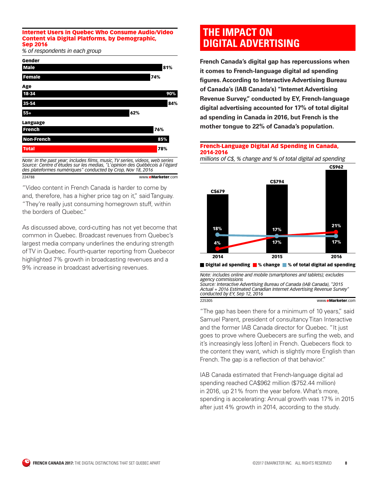### <span id="page-7-0"></span>Internet Users in Quebec Who Consume Audio/Video Content via Digital Platforms, by Demographic, Sep 2016

*% of respondents in each group*



*Note: in the past year; includes films, music, TV series, videos, web series Source: Centre d'études sur les medias, "L'opinion des Québécois à l'égard des plateformes numériques" conducted by Crop, Nov 18, 2016* 224788 www.eMarketer.com

"Video content in French Canada is harder to come by and, therefore, has a higher price tag on it," said Tanguay. "They're really just consuming homegrown stuff, within the borders of Quebec."

As discussed above, cord-cutting has not yet become that common in Quebec. Broadcast revenues from Quebec's largest media company underlines the enduring strength of TV in Quebec. Fourth-quarter reporting from Quebecor highlighted 7% growth in broadcasting revenues and a 9% increase in broadcast advertising revenues.

# **THE IMPACT ON DIGITAL ADVERTISING**

**French Canada's digital gap has repercussions when it comes to French-language digital ad spending figures. According to Interactive Advertising Bureau of Canada's (IAB Canada's) "Internet Advertising Revenue Survey," conducted by EY, French-language digital advertising accounted for 17% of total digital ad spending in Canada in 2016, but French is the mother tongue to 22% of Canada's population.** 

### French-Language Digital Ad Spending in Canada, 2014-2016

*millions of C\$, % change and % of total digital ad spending*



*Note: includes online and mobile (smartphones and tablets); excludes agency commissions Source: Interactive Advertising Bureau of Canada (IAB Canada), "2015*

*Actual + 2016 Estimated Canadian Internet Advertising Revenue Survey" conducted by EY, Sep 12, 2016* 225305 www.eMarketer.com

"The gap has been there for a minimum of 10 years," said Samuel Parent, president of consultancy Titan Interactive and the former IAB Canada director for Quebec. "It just goes to prove where Quebecers are surfing the web, and it's increasingly less [often] in French. Quebecers flock to the content they want, which is slightly more English than French. The gap is a reflection of that behavior."

IAB Canada estimated that French-language digital ad spending reached CA\$962 million (\$752.44 million) in 2016, up 21% from the year before. What's more, spending is accelerating: Annual growth was 17% in 2015 after just 4% growth in 2014, according to the study.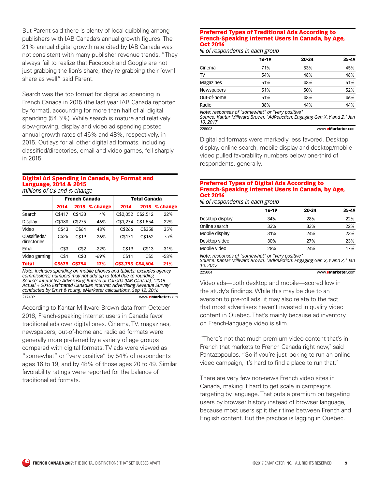But Parent said there is plenty of local quibbling among publishers with IAB Canada's annual growth figures. The 21% annual digital growth rate cited by IAB Canada was not consistent with many publisher revenue trends. "They always fail to realize that Facebook and Google are not just grabbing the lion's share, they're grabbing their [own] share as well," said Parent.

Search was the top format for digital ad spending in French Canada in 2015 (the last year IAB Canada reported by format), accounting for more than half of all digital spending (54.5%). While search is mature and relatively slow-growing, display and video ad spending posted annual growth rates of 46% and 48%, respectively, in 2015. Outlays for all other digital ad formats, including classified/directories, email and video games, fell sharply in 2015.

### Digital Ad Spending in Canada, by Format and Language, 2014 & 2015

*millions of C\$ and % change*

|                             | <b>French Canada</b> |        | <b>Total Canada</b> |          |                   |          |
|-----------------------------|----------------------|--------|---------------------|----------|-------------------|----------|
|                             | 2014                 | 2015   | % change            | 2014     | 2015              | % change |
| Search                      | C\$417               | C\$433 | 4%                  | C\$2,052 | C\$2.512          | 22%      |
| Display                     | C\$188               | C\$275 | 46%                 | C\$1.274 | C\$1.554          | 22%      |
| Video                       | C\$43                | C\$64  | 48%                 | C\$266   | C\$358            | 35%      |
| Classifieds/<br>directories | C\$26                | C\$19  | $-26%$              | C\$171   | C\$162            | $-5%$    |
| Email                       | C\$3                 | C\$2   | $-22%$              | C\$19    | C\$13             | $-31%$   |
| Video gaming                | C\$1                 | C\$0   | $-69%$              | C\$11    | C\$5              | -58%     |
| <b>Total</b>                | C\$679               | C\$794 | 17%                 |          | C\$3.793 C\$4.604 | 21%      |

*Note: includes spending on mobile phones and tablets; excludes agency commissions; numbers may not add up to total due to rounding Source: Interactive Advertising Bureau of Canada (IAB Canada), "2015 Actual + 2016 Estimated Canadian Internet Advertising Revenue Survey" conducted by Ernst & Young; eMarketer calculations, Sep 12, 2016* 217409 www.eMarketer.com

According to Kantar Millward Brown data from October 2016, French-speaking internet users in Canada favor traditional ads over digital ones. Cinema, TV, magazines, newspapers, out-of-home and radio ad formats were generally more preferred by a variety of age groups compared with digital formats. TV ads were viewed as "somewhat" or "very positive" by 54% of respondents ages 16 to 19, and by 48% of those ages 20 to 49. Similar favorability ratings were reported for the balance of traditional ad formats.

### Preferred Types of Traditional Ads According to French-Speaking Internet Users in Canada, by Age, Oct 2016

*% of respondents in each group*

| $35 - 49$ | 20-34 | $16 - 19$ |                   |
|-----------|-------|-----------|-------------------|
| 45%       | 53%   | 71%       | Cinema            |
| 48%       | 48%   | 54%       | TV                |
| 51%       | 48%   | 51%       | <b>Magazines</b>  |
| 52%       | 50%   | 51%       | <b>Newspapers</b> |
| 46%       | 48%   | 51%       | Out-of-home       |
| 44%       | 44%   | 38%       | Radio             |
|           |       |           |                   |

*Note: responses of "somewhat" or "very positive" Source: Kantar Millward Brown, "AdReaction: Engaging Gen X,Y and Z," Jan 10, 2017* 225003 www.eMarketer.com

Digital ad formats were markedly less favored. Desktop display, online search, mobile display and desktop/mobile video pulled favorability numbers below one-third of respondents, generally.

### Preferred Types of Digital Ads According to French-Speaking Internet Users in Canada, by Age, Oct 2016

*% of respondents in each group*

|                                              | $16 - 19$ | 20-34 | $35 - 49$ |
|----------------------------------------------|-----------|-------|-----------|
| Desktop display                              | 34%       | 28%   | 22%       |
| Online search                                | 33%       | 33%   | 22%       |
| Mobile display                               | 31%       | 24%   | 23%       |
| Desktop video                                | 30%       | 27%   | 23%       |
| Mobile video                                 | 28%       | 24%   | 17%       |
| $Moto: recomponent of "command*" or "van's"$ |           |       |           |

*Note: responses of "somewhat" or "very positive" Source: Kantar Millward Brown, "AdReaction: Engaging Gen X,Y and Z," Jan 10, 2017* 225004 www.eMarketer.com

Video ads—both desktop and mobile—scored low in the study's findings. While this may be due to an aversion to pre-roll ads, it may also relate to the fact that most advertisers haven't invested in quality video content in Quebec. That's mainly because ad inventory on French-language video is slim.

"There's not that much premium video content that's in French that markets to French Canada right now," said Pantazopoulos. "So if you're just looking to run an online video campaign, it's hard to find a place to run that."

There are very few non-news French video sites in Canada, making it hard to get scale in campaigns targeting by language. That puts a premium on targeting users by browser history instead of browser language, because most users split their time between French and English content. But the practice is lagging in Quebec.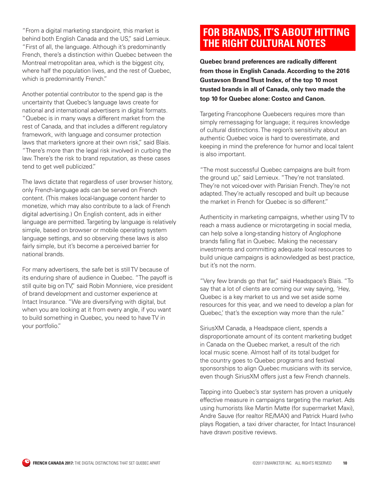<span id="page-9-0"></span>"From a digital marketing standpoint, this market is behind both English Canada and the US," said Lemieux. "First of all, the language. Although it's predominantly French, there's a distinction within Quebec between the Montreal metropolitan area, which is the biggest city, where half the population lives, and the rest of Quebec, which is predominantly French."

Another potential contributor to the spend gap is the uncertainty that Quebec's language laws create for national and international advertisers in digital formats. "Quebec is in many ways a different market from the rest of Canada, and that includes a different regulatory framework, with language and consumer protection laws that marketers ignore at their own risk," said Blais. "There's more than the legal risk involved in curbing the law. There's the risk to brand reputation, as these cases tend to get well publicized."

The laws dictate that regardless of user browser history, only French-language ads can be served on French content. (This makes local-language content harder to monetize, which may also contribute to a lack of French digital advertising.) On English content, ads in either language are permitted. Targeting by language is relatively simple, based on browser or mobile operating system language settings, and so observing these laws is also fairly simple, but it's become a perceived barrier for national brands.

For many advertisers, the safe bet is still TV because of its enduring share of audience in Quebec. "The payoff is still quite big on TV" said Robin Monniere, vice president of brand development and customer experience at Intact Insurance. "We are diversifying with digital, but when you are looking at it from every angle, if you want to build something in Quebec, you need to have TV in your portfolio."

# **FOR BRANDS, IT'S ABOUT HITTING THE RIGHT CULTURAL NOTES**

**Quebec brand preferences are radically different from those in English Canada. According to the 2016 Gustavson Brand Trust Index, of the top 10 most trusted brands in all of Canada, only two made the top 10 for Quebec alone: Costco and Canon.** 

Targeting Francophone Quebecers requires more than simply remessaging for language; it requires knowledge of cultural distinctions. The region's sensitivity about an authentic Quebec voice is hard to overestimate, and keeping in mind the preference for humor and local talent is also important.

"The most successful Quebec campaigns are built from the ground up," said Lemieux. "They're not translated. They're not voiced-over with Parisian French. They're not adapted. They're actually rescoped and built up because the market in French for Quebec is so different."

Authenticity in marketing campaigns, whether using TV to reach a mass audience or microtargeting in social media, can help solve a long-standing history of Anglophone brands falling flat in Quebec. Making the necessary investments and committing adequate local resources to build unique campaigns is acknowledged as best practice, but it's not the norm.

"Very few brands go that far," said Headspace's Blais. "To say that a lot of clients are coming our way saying, 'Hey, Quebec is a key market to us and we set aside some resources for this year, and we need to develop a plan for Quebec,' that's the exception way more than the rule."

SiriusXM Canada, a Headspace client, spends a disproportionate amount of its content marketing budget in Canada on the Quebec market, a result of the rich local music scene. Almost half of its total budget for the country goes to Quebec programs and festival sponsorships to align Quebec musicians with its service, even though SiriusXM offers just a few French channels.

Tapping into Quebec's star system has proven a uniquely effective measure in campaigns targeting the market. Ads using humorists like Martin Matte (for supermarket Maxi), Andre Sauve (for realtor RE/MAX) and Patrick Huard (who plays Rogatien, a taxi driver character, for Intact Insurance) have drawn positive reviews.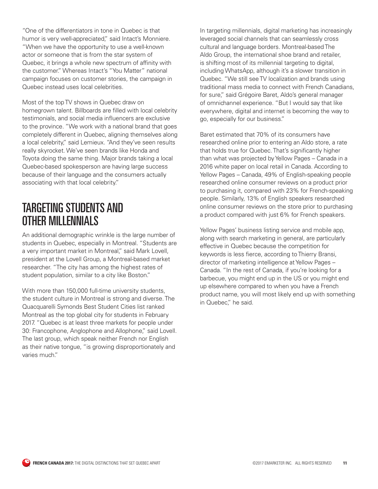"One of the differentiators in tone in Quebec is that humor is very well-appreciated," said Intact's Monniere. "When we have the opportunity to use a well-known actor or someone that is from the star system of Quebec, it brings a whole new spectrum of affinity with the customer." Whereas Intact's "You Matter" national campaign focuses on customer stories, the campaign in Quebec instead uses local celebrities.

Most of the top TV shows in Quebec draw on homegrown talent. Billboards are filled with local celebrity testimonials, and social media influencers are exclusive to the province. "We work with a national brand that goes completely different in Quebec, aligning themselves along a local celebrity," said Lemieux. "And they've seen results really skyrocket. We've seen brands like Honda and Toyota doing the same thing. Major brands taking a local Quebec-based spokesperson are having large success because of their language and the consumers actually associating with that local celebrity."

# TARGETING STUDENTS AND OTHER MILLENNIALS

An additional demographic wrinkle is the large number of students in Quebec, especially in Montreal. "Students are a very important market in Montreal," said Mark Lovell, president at the Lovell Group, a Montreal-based market researcher. "The city has among the highest rates of student population, similar to a city like Boston."

With more than 150,000 full-time university students, the student culture in Montreal is strong and diverse. The Quacquarelli Symonds Best Student Cities list ranked Montreal as the top global city for students in February 2017. "Quebec is at least three markets for people under 30: Francophone, Anglophone and Allophone," said Lovell. The last group, which speak neither French nor English as their native tongue, "is growing disproportionately and varies much."

In targeting millennials, digital marketing has increasingly leveraged social channels that can seamlessly cross cultural and language borders. Montreal-based The Aldo Group, the international shoe brand and retailer, is shifting most of its millennial targeting to digital, including WhatsApp, although it's a slower transition in Quebec. "We still see TV localization and brands using traditional mass media to connect with French Canadians, for sure," said Grégoire Baret, Aldo's general manager of omnichannel experience. "But I would say that like everywhere, digital and internet is becoming the way to go, especially for our business."

Baret estimated that 70% of its consumers have researched online prior to entering an Aldo store, a rate that holds true for Quebec. That's significantly higher than what was projected by Yellow Pages – Canada in a 2016 white paper on local retail in Canada. According to Yellow Pages – Canada, 49% of English-speaking people researched online consumer reviews on a product prior to purchasing it, compared with 23% for French-speaking people. Similarly, 13% of English speakers researched online consumer reviews on the store prior to purchasing a product compared with just 6% for French speakers.

Yellow Pages' business listing service and mobile app, along with search marketing in general, are particularly effective in Quebec because the competition for keywords is less fierce, according to Thierry Bransi, director of marketing intelligence at Yellow Pages – Canada. "In the rest of Canada, if you're looking for a barbecue, you might end up in the US or you might end up elsewhere compared to when you have a French product name, you will most likely end up with something in Quebec," he said.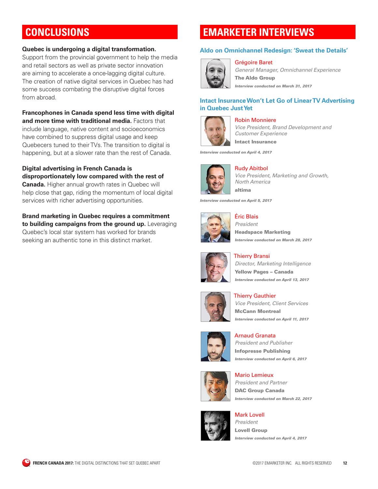# <span id="page-11-0"></span>**CONCLUSIONS**

### **Quebec is undergoing a digital transformation.**

Support from the provincial government to help the media and retail sectors as well as private sector innovation are aiming to accelerate a once-lagging digital culture. The creation of native digital services in Quebec has had some success combating the disruptive digital forces from abroad.

**Francophones in Canada spend less time with digital and more time with traditional media.** Factors that include language, native content and socioeconomics have combined to suppress digital usage and keep Quebecers tuned to their TVs. The transition to digital is happening, but at a slower rate than the rest of Canada.

**Digital advertising in French Canada is disproportionately low compared with the rest of Canada.** Higher annual growth rates in Quebec will help close that gap, riding the momentum of local digital services with richer advertising opportunities.

**Brand marketing in Quebec requires a commitment to building campaigns from the ground up.** Leveraging Quebec's local star system has worked for brands seeking an authentic tone in this distinct market.

# **EMARKETER INTERVIEWS**

Grégoire Baret

### **[Aldo on Omnichannel Redesign: 'Sweat the Details'](http://totalaccess.emarketer.com/Interview.aspx?R=6002354)**



*General Manager, Omnichannel Experience*  The Aldo Group *Interview conducted on March 31, 2017* 

### **[Intact Insurance Won't Let Go of Linear TV Advertising](http://totalaccess.emarketer.com/Interview.aspx?R=6002375)  [in Quebec Just Yet](http://totalaccess.emarketer.com/Interview.aspx?R=6002375)**



Robin Monniere

*Vice President, Brand Development and Customer Experience* 

Intact Insurance

*Interview conducted on April 4, 2017* 



Rudy Abitbol *Vice President, Marketing and Growth, North America*  altima

*Interview conducted on April 5, 2017* 



Éric Blais

*President*  Headspace Marketing *Interview conducted on March 28, 2017* 



Thierry Bransi *Director, Marketing Intelligence*  Yellow Pages – Canada *Interview conducted on April 13, 2017* 



Thierry Gauthier *Vice President, Client Services*  McCann Montreal *Interview conducted on April 11, 2017* 



Arnaud Granata *President and Publisher*  Infopresse Publishing *Interview conducted on April 6, 2017* 



Mario Lemieux *President and Partner*  DAC Group Canada *Interview conducted on March 22, 2017* 



Mark Lovell *President*  Lovell Group *Interview conducted on April 4, 2017*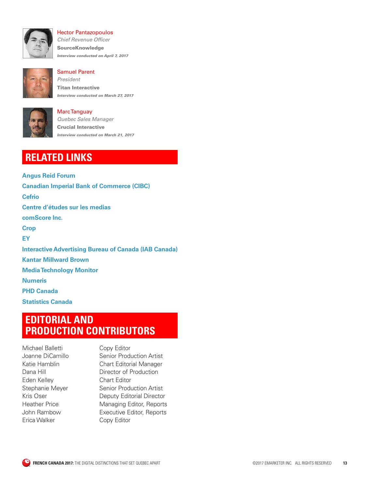

Hector Pantazopoulos *Chief Revenue Officer*  SourceKnowledge *Interview conducted on April 7, 2017* 



Samuel Parent *President*  Titan Interactive *Interview conducted on March 27, 2017* 



Marc Tanguay *Quebec Sales Manager*  Crucial Interactive *Interview conducted on March 21, 2017* 

# **RELATED LINKS**

**[Angus Reid Forum](https://www.angusreidforum.com/Portal/default.aspx)  [Canadian Imperial Bank of Commerce \(CIBC\)](https://www.cibc.com/en/personal-banking.html)  [Cefrio](http://www.cefrio.qc.ca)  [Centre d'études sur les medias](www.cem.ulaval.ca)  [comScore Inc.](http://www.comscore.com)  [Crop](https://www.crop.ca/en/)  [EY](http://www.ey.com/)  [Interactive Advertising Bureau of Canada \(IAB Canada\)](http://www.iabcanada.com/)  [Kantar Millward Brown](http://www.wpp.com/wpp/companies/kantar-millward-brown)  [Media Technology Monitor](https://mtm-otm.ca/home.asp)  [Numeris](http://www.numeris.ca)  [PHD Canada](http://www.phdmedia.com/)  [Statistics Canada](http://www.statcan.gc.ca)** 

# **EDITORIAL AND PRODUCTION CONTRIBUTORS**

Michael Balletti Copy Editor Eden Kelley Chart Editor Erica Walker Copy Editor

Joanne DiCamillo Senior Production Artist Katie Hamblin Chart Editorial Manager Dana Hill **Director of Production** Stephanie Meyer Senior Production Artist Kris Oser Deputy Editorial Director Heather Price Managing Editor, Reports John Rambow Executive Editor, Reports